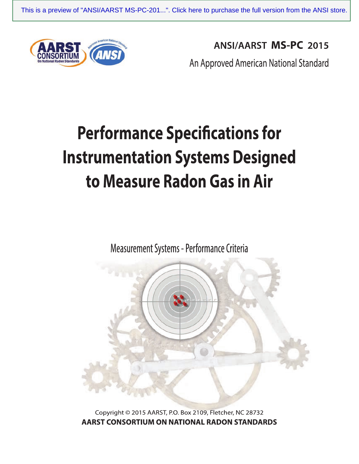

**ANSI/AARST MS-PC 2015** 

An Approved American National Standard

# **Performance Specifications for Instrumentation Systems Designed** to Measure Radon Gas in Air

Measurement Systems - Performance Criteria



Copyright © 2015 AARST, P.O. Box 2109, Fletcher, NC 28732 AARST CONSORTIUM ON NATIONAL RADON STANDARDS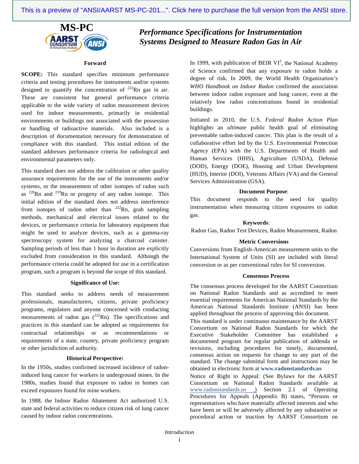

# **MS-PC** *Performance Specifications for Instrumentation Systems Designed to Measure Radon Gas in Air*

#### **Forward**

**SCOPE:** This standard specifies minimum performance criteria and testing procedures for instruments and/or systems designed to quantify the concentration of  $^{222}$ Rn gas in air. These are consistent but general performance criteria applicable to the wide variety of radon measurement devices used for indoor measurements, primarily in residential environments or buildings not associated with the possession or handling of radioactive materials. Also included is a description of documentation necessary for demonstration of compliance with this standard. This initial edition of the standard addresses performance criteria for radiological and environmental parameters only.

This standard does not address the calibration or other quality assurance requirements for the use of the instruments and/or systems, or the measurement of other isotopes of radon such as  $^{220}$ Rn and  $^{219}$ Rn or progeny of any radon isotope. This initial edition of the standard does not address interference from isotopes of radon other than  $^{222}$ Rn, grab sampling methods, mechanical and electrical issues related to the devices, or performance criteria for laboratory equipment that might be used to analyze devices, such as a gamma-ray spectroscopy system for analyzing a charcoal canister. Sampling periods of less than 1 hour in duration are explicitly excluded from consideration in this standard. Although the performance criteria could be adopted for use in a certification program, such a program is beyond the scope of this standard.

#### **Significance of Use:**

This standard seeks to address needs of measurement professionals, manufacturers, citizens, private proficiency programs, regulators and anyone concerned with conducting measurements of radon gas  $(^{222}Rn)$ . The specifications and practices in this standard can be adopted as requirements for contractual relationships or as recommendations or requirements of a state, country, private proficiency program or other jurisdiction of authority.

#### **Historical Perspective:**

In the 1950s, studies confirmed increased incidence of radoninduced lung cancer for workers in underground mines. In the 1980s, studies found that exposure to radon in homes can exceed exposures found for mine workers.

In 1988, the Indoor Radon Abatement Act authorized U.S. state and federal activities to reduce citizen risk of lung cancer caused by indoor radon concentrations.

In 1999, with publication of BEIR  $VI^2$ , the National Academy of Science confirmed that any exposure to radon holds a degree of risk. In 2009, the World Health Organization's *WHO Handbook on Indoor Radon* confirmed the association between indoor radon exposure and lung cancer, even at the relatively low radon concentrations found in residential buildings.

Initiated in 2010, the U.S. *Federal Radon Action Plan*  highlights an *ultimate* public health goal of eliminating preventable radon-induced cancer. This plan is the result of a collaborative effort led by the U.S. Environmental Protection Agency (EPA) with the U.S. Departments of Health and Human Services (HHS), Agriculture (USDA), Defense (DOD), Energy (DOE), Housing and Urban Development (HUD), Interior (DOI), Veterans Affairs (VA) and the General Services Administration (GSA).

#### **Document Purpose**:

This document responds to the need for quality instrumentation when measuring citizen exposures to radon gas.

#### **Keywords**:

Radon Gas, Radon Test Devices, Radon Measurement, Radon

#### **Metric Conversions**

Conversions from English-American measurement units to the International System of Units (SI) are included with literal conversion or as per conventional rules for SI conversion.

#### **Consensus Process**

The consensus process developed for the AARST Consortium on National Radon Standards and as accredited to meet essential requirements for American National Standards by the American National Standards Institute (ANSI) has been applied throughout the process of approving this document.

This standard is under continuous maintenance by the AARST Consortium on National Radon Standards for which the Executive Stakeholder Committee has established a documented program for regular publication of addenda or revisions, including procedures for timely, documented, consensus action on requests for change to any part of the standard. The change submittal form and instructions may be obtained in electronic form at **www.radonstandards.us**

Notice of Right to Appeal: (See Bylaws for the AARST Consortium on National Radon Standards available at www.radonstandards.us .) Section 2.1 of Operating Procedures for Appeals (Appendix B) states, "Persons or representatives who have materially affected interests and who have been or will be adversely affected by any substantive or procedural action or inaction by AARST Consortium on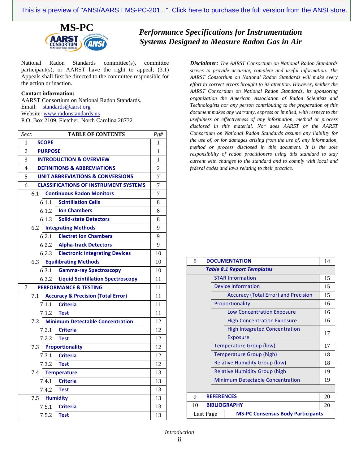

**MS-PC** *Performance Specifications for Instrumentation Systems Designed to Measure Radon Gas in Air*

National Radon Standards committee(s), committee participant(s), or AARST have the right to appeal; (3.1) Appeals shall first be directed to the committee responsible for the action or inaction.

#### **Contact information:**

AARST Consortium on National Radon Standards. Email: standards@aarst.org Website: www.radonstandards.us P.O. Box 2109, Fletcher, North Carolina 28732

| <b>TABLE OF CONTENTS</b><br>Sect.                    | Pg#            |
|------------------------------------------------------|----------------|
| <b>SCOPE</b><br>1                                    | 1              |
| 2<br><b>PURPOSE</b>                                  | 1              |
| 3<br><b>INTRODUCTION &amp; OVERVIEW</b>              | 1              |
| <b>DEFINITIONS &amp; ABBREVIATIONS</b><br>4          | $\overline{c}$ |
| 5<br><b>UNIT ABBREVIATIONS &amp; CONVERSIONS</b>     | $\overline{7}$ |
| <b>CLASSIFICATIONS OF INSTRUMENT SYSTEMS</b><br>6    | $\overline{7}$ |
| <b>Continuous Radon Monitors</b><br>6.1              | $\overline{7}$ |
| 6.1.1<br><b>Scintillation Cells</b>                  | 8              |
| <b>Ion Chambers</b><br>6.1.2                         | 8              |
| 6.1.3<br><b>Solid-state Detectors</b>                | 8              |
| 6.2 Integrating Methods                              | 9              |
| <b>Electret Ion Chambers</b><br>6.2.1                | 9              |
| 6.2.2<br><b>Alpha-track Detectors</b>                | 9              |
| <b>Electronic Integrating Devices</b><br>6.2.3       | 10             |
| <b>Equilibrating Methods</b><br>6.3                  | 10             |
| 6.3.1<br><b>Gamma-ray Spectroscopy</b>               | 10             |
| <b>Liquid Scintillation Spectroscopy</b><br>6.3.2    | 11             |
| <b>PERFORMANCE &amp; TESTING</b><br>7                | 11             |
| <b>Accuracy &amp; Precision (Total Error)</b><br>7.1 | 11             |
| <b>Criteria</b><br>7.1.1                             | 11             |
| <b>Test</b><br>7.1.2                                 | 11             |
| <b>Minimum Detectable Concentration</b><br>7.2       | 12             |
| 7.2.1<br><b>Criteria</b>                             | 12             |
| 7.2.2<br><b>Test</b>                                 | 12             |
| <b>Proportionality</b><br>7.3                        | 12             |
| <b>Criteria</b><br>7.3.1                             | 12             |
| 7.3.2<br><b>Test</b>                                 | 12             |
| 7.4<br><b>Temperature</b>                            | 13             |
| <b>Criteria</b><br>7.4.1                             | 13             |
| 7.4.2<br><b>Test</b>                                 | 13             |
| 7.5<br><b>Humidity</b>                               | 13             |
| 7.5.1<br><b>Criteria</b>                             | 13             |
| 7.5.2<br><b>Test</b>                                 | 13             |

*Disclaimer: The AARST Consortium on National Radon Standards strives to provide accurate, complete and useful information. The AARST Consortium on National Radon Standards will make every effort to correct errors brought to its attention. However, neither the AARST Consortium on National Radon Standards, its sponsoring organization the American Association of Radon Scientists and Technologists nor any person contributing to the preparation of this document makes any warranty, express or implied, with respect to the usefulness or effectiveness of any information, method or process disclosed in this material. Nor does AARST or the AARST Consortium on National Radon Standards assume any liability for the use of, or for damages arising from the use of, any information, method or process disclosed in this document. It is the sole responsibility of radon practitioners using this standard to stay current with changes to the standard and to comply with local and federal codes and laws relating to their practice.*

| <b>DOCUMENTATION</b><br>8                             | 14 |  |
|-------------------------------------------------------|----|--|
| <b>Table 8.1 Report Templates</b>                     |    |  |
| <b>STAR Information</b>                               | 15 |  |
| Device Information                                    | 15 |  |
| <b>Accuracy (Total Error) and Precision</b>           | 15 |  |
| Proportionality                                       | 16 |  |
| <b>Low Concentration Exposure</b>                     | 16 |  |
| <b>High Concentration Exposure</b>                    | 16 |  |
| <b>High Integrated Concentration</b>                  | 17 |  |
| Exposure                                              |    |  |
| <b>Temperature Group (low)</b>                        | 17 |  |
| Temperature Group (high)                              | 18 |  |
| <b>Relative Humidity Group (low)</b>                  | 18 |  |
| <b>Relative Humidity Group (high</b>                  | 19 |  |
| <b>Minimum Detectable Concentration</b>               | 19 |  |
|                                                       |    |  |
| 20<br><b>REFERENCES</b><br>9                          |    |  |
| <b>BIBLIOGRAPHY</b><br>10<br>20                       |    |  |
| <b>MS-PC Consensus Body Participants</b><br>Last Page |    |  |